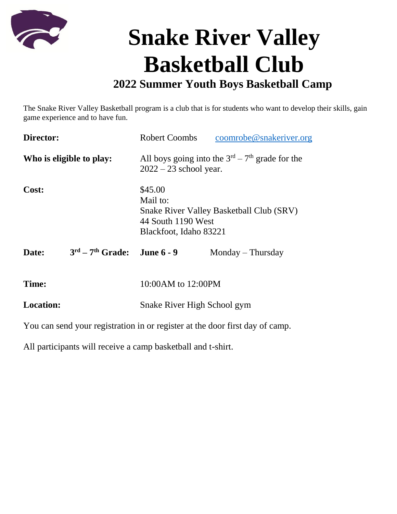

## **Snake River Valley Basketball Club**

## **2022 Summer Youth Boys Basketball Camp**

The Snake River Valley Basketball program is a club that is for students who want to develop their skills, gain game experience and to have fun.

| Director:                |                               | <b>Robert Coombs</b>                                                                                                   | coomrobe@snakeriver.org |
|--------------------------|-------------------------------|------------------------------------------------------------------------------------------------------------------------|-------------------------|
| Who is eligible to play: |                               | All boys going into the $3rd - 7th$ grade for the<br>$2022 - 23$ school year.                                          |                         |
| Cost:                    |                               | \$45.00<br>Mail to:<br><b>Snake River Valley Basketball Club (SRV)</b><br>44 South 1190 West<br>Blackfoot, Idaho 83221 |                         |
| Date:                    | $3rd - 7th$ Grade: June 6 - 9 |                                                                                                                        | $Monday$ – Thursday     |
| Time:                    |                               | 10:00AM to 12:00PM                                                                                                     |                         |
| <b>Location:</b>         |                               | Snake River High School gym                                                                                            |                         |

You can send your registration in or register at the door first day of camp.

All participants will receive a camp basketball and t-shirt.